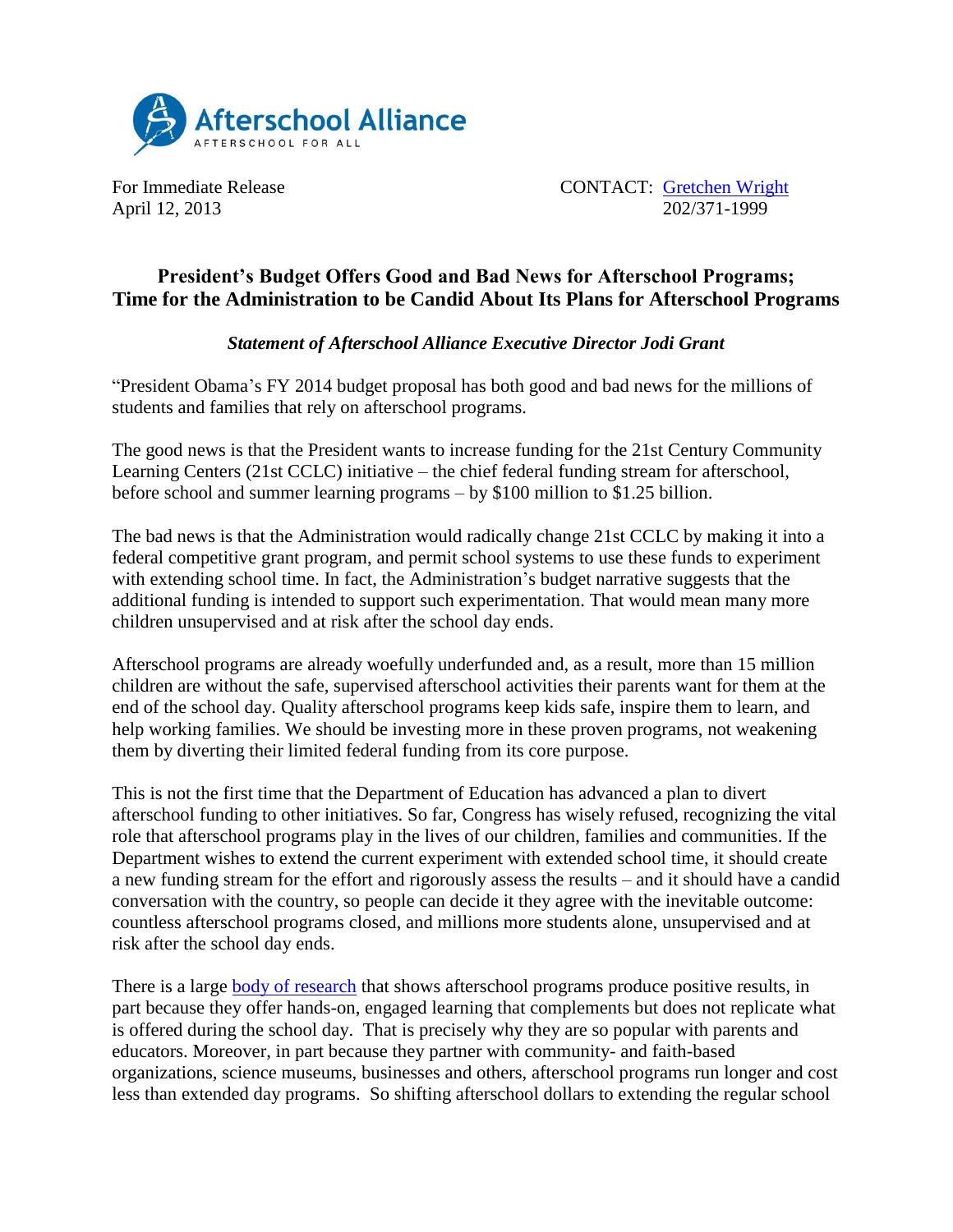

April 12, 2013

For Immediate Release CONTACT: Contracted CONTACT: Contracted Units 202/371-1999

## **President's Budget Offers Good and Bad News for Afterschool Programs; Time for the Administration to be Candid About Its Plans for Afterschool Programs**

## *Statement of Afterschool Alliance Executive Director Jodi Grant*

"President Obama's FY 2014 budget proposal has both good and bad news for the millions of students and families that rely on afterschool programs.

The good news is that the President wants to increase funding for the 21st Century Community Learning Centers (21st CCLC) initiative – the chief federal funding stream for afterschool, before school and summer learning programs – by \$100 million to \$1.25 billion.

The bad news is that the Administration would radically change 21st CCLC by making it into a federal competitive grant program, and permit school systems to use these funds to experiment with extending school time. In fact, the Administration's budget narrative suggests that the additional funding is intended to support such experimentation. That would mean many more children unsupervised and at risk after the school day ends.

Afterschool programs are already woefully underfunded and, as a result, more than 15 million children are without the safe, supervised afterschool activities their parents want for them at the end of the school day. Quality afterschool programs keep kids safe, inspire them to learn, and help working families. We should be investing more in these proven programs, not weakening them by diverting their limited federal funding from its core purpose.

This is not the first time that the Department of Education has advanced a plan to divert afterschool funding to other initiatives. So far, Congress has wisely refused, recognizing the vital role that afterschool programs play in the lives of our children, families and communities. If the Department wishes to extend the current experiment with extended school time, it should create a new funding stream for the effort and rigorously assess the results – and it should have a candid conversation with the country, so people can decide it they agree with the inevitable outcome: countless afterschool programs closed, and millions more students alone, unsupervised and at risk after the school day ends.

There is a large [body of research](http://www.afterschoolalliance.org/researchReports.cfm) that shows afterschool programs produce positive results, in part because they offer hands-on, engaged learning that complements but does not replicate what is offered during the school day. That is precisely why they are so popular with parents and educators. Moreover, in part because they partner with community- and faith-based organizations, science museums, businesses and others, afterschool programs run longer and cost less than extended day programs. So shifting afterschool dollars to extending the regular school